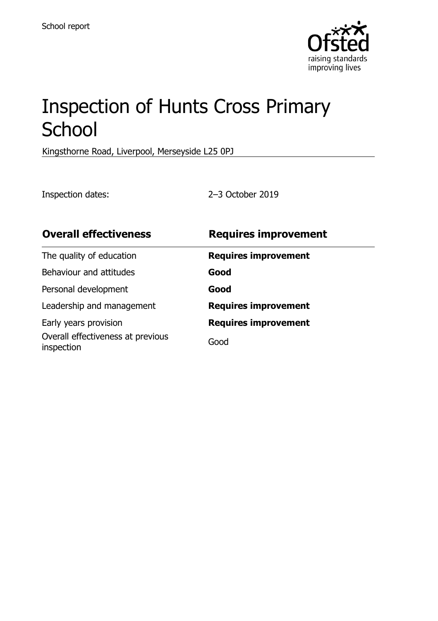

# Inspection of Hunts Cross Primary **School**

Kingsthorne Road, Liverpool, Merseyside L25 0PJ

Inspection dates: 2–3 October 2019

| <b>Overall effectiveness</b>                    | <b>Requires improvement</b> |
|-------------------------------------------------|-----------------------------|
| The quality of education                        | <b>Requires improvement</b> |
| Behaviour and attitudes                         | Good                        |
| Personal development                            | Good                        |
| Leadership and management                       | <b>Requires improvement</b> |
| Early years provision                           | <b>Requires improvement</b> |
| Overall effectiveness at previous<br>inspection | Good                        |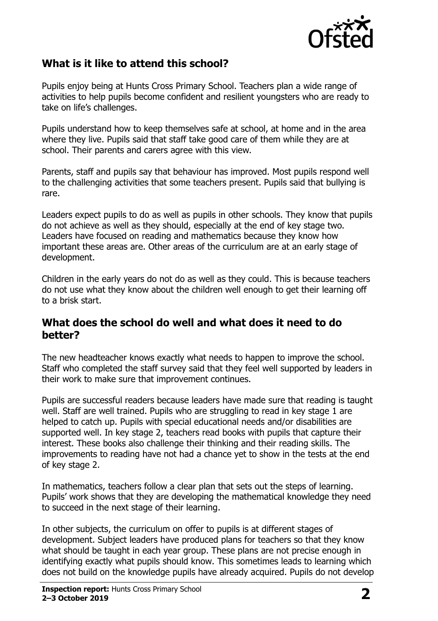

# **What is it like to attend this school?**

Pupils enjoy being at Hunts Cross Primary School. Teachers plan a wide range of activities to help pupils become confident and resilient youngsters who are ready to take on life's challenges.

Pupils understand how to keep themselves safe at school, at home and in the area where they live. Pupils said that staff take good care of them while they are at school. Their parents and carers agree with this view.

Parents, staff and pupils say that behaviour has improved. Most pupils respond well to the challenging activities that some teachers present. Pupils said that bullying is rare.

Leaders expect pupils to do as well as pupils in other schools. They know that pupils do not achieve as well as they should, especially at the end of key stage two. Leaders have focused on reading and mathematics because they know how important these areas are. Other areas of the curriculum are at an early stage of development.

Children in the early years do not do as well as they could. This is because teachers do not use what they know about the children well enough to get their learning off to a brisk start.

#### **What does the school do well and what does it need to do better?**

The new headteacher knows exactly what needs to happen to improve the school. Staff who completed the staff survey said that they feel well supported by leaders in their work to make sure that improvement continues.

Pupils are successful readers because leaders have made sure that reading is taught well. Staff are well trained. Pupils who are struggling to read in key stage 1 are helped to catch up. Pupils with special educational needs and/or disabilities are supported well. In key stage 2, teachers read books with pupils that capture their interest. These books also challenge their thinking and their reading skills. The improvements to reading have not had a chance yet to show in the tests at the end of key stage 2.

In mathematics, teachers follow a clear plan that sets out the steps of learning. Pupils' work shows that they are developing the mathematical knowledge they need to succeed in the next stage of their learning.

In other subjects, the curriculum on offer to pupils is at different stages of development. Subject leaders have produced plans for teachers so that they know what should be taught in each year group. These plans are not precise enough in identifying exactly what pupils should know. This sometimes leads to learning which does not build on the knowledge pupils have already acquired. Pupils do not develop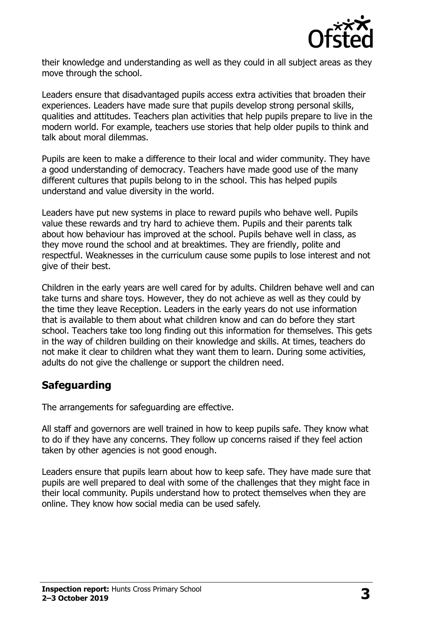

their knowledge and understanding as well as they could in all subject areas as they move through the school.

Leaders ensure that disadvantaged pupils access extra activities that broaden their experiences. Leaders have made sure that pupils develop strong personal skills, qualities and attitudes. Teachers plan activities that help pupils prepare to live in the modern world. For example, teachers use stories that help older pupils to think and talk about moral dilemmas.

Pupils are keen to make a difference to their local and wider community. They have a good understanding of democracy. Teachers have made good use of the many different cultures that pupils belong to in the school. This has helped pupils understand and value diversity in the world.

Leaders have put new systems in place to reward pupils who behave well. Pupils value these rewards and try hard to achieve them. Pupils and their parents talk about how behaviour has improved at the school. Pupils behave well in class, as they move round the school and at breaktimes. They are friendly, polite and respectful. Weaknesses in the curriculum cause some pupils to lose interest and not give of their best.

Children in the early years are well cared for by adults. Children behave well and can take turns and share toys. However, they do not achieve as well as they could by the time they leave Reception. Leaders in the early years do not use information that is available to them about what children know and can do before they start school. Teachers take too long finding out this information for themselves. This gets in the way of children building on their knowledge and skills. At times, teachers do not make it clear to children what they want them to learn. During some activities, adults do not give the challenge or support the children need.

### **Safeguarding**

The arrangements for safeguarding are effective.

All staff and governors are well trained in how to keep pupils safe. They know what to do if they have any concerns. They follow up concerns raised if they feel action taken by other agencies is not good enough.

Leaders ensure that pupils learn about how to keep safe. They have made sure that pupils are well prepared to deal with some of the challenges that they might face in their local community. Pupils understand how to protect themselves when they are online. They know how social media can be used safely.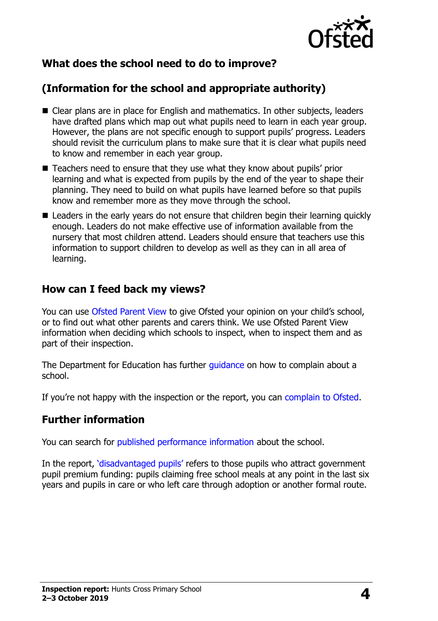

# **What does the school need to do to improve?**

# **(Information for the school and appropriate authority)**

- Clear plans are in place for English and mathematics. In other subjects, leaders have drafted plans which map out what pupils need to learn in each year group. However, the plans are not specific enough to support pupils' progress. Leaders should revisit the curriculum plans to make sure that it is clear what pupils need to know and remember in each year group.
- Teachers need to ensure that they use what they know about pupils' prior learning and what is expected from pupils by the end of the year to shape their planning. They need to build on what pupils have learned before so that pupils know and remember more as they move through the school.
- Leaders in the early years do not ensure that children begin their learning quickly enough. Leaders do not make effective use of information available from the nursery that most children attend. Leaders should ensure that teachers use this information to support children to develop as well as they can in all area of learning.

### **How can I feed back my views?**

You can use [Ofsted Parent View](http://parentview.ofsted.gov.uk/) to give Ofsted your opinion on your child's school, or to find out what other parents and carers think. We use Ofsted Parent View information when deciding which schools to inspect, when to inspect them and as part of their inspection.

The Department for Education has further quidance on how to complain about a school.

If you're not happy with the inspection or the report, you can [complain to Ofsted.](http://www.gov.uk/complain-ofsted-report)

### **Further information**

You can search for [published performance information](http://www.compare-school-performance.service.gov.uk/) about the school.

In the report, '[disadvantaged pupils](http://www.gov.uk/guidance/pupil-premium-information-for-schools-and-alternative-provision-settings)' refers to those pupils who attract government pupil premium funding: pupils claiming free school meals at any point in the last six years and pupils in care or who left care through adoption or another formal route.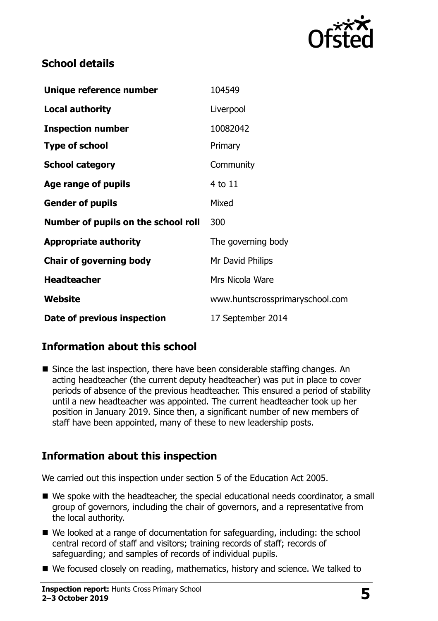

# **School details**

| Unique reference number             | 104549                          |
|-------------------------------------|---------------------------------|
| <b>Local authority</b>              | Liverpool                       |
| <b>Inspection number</b>            | 10082042                        |
| <b>Type of school</b>               | Primary                         |
| <b>School category</b>              | Community                       |
| Age range of pupils                 | 4 to 11                         |
| <b>Gender of pupils</b>             | Mixed                           |
| Number of pupils on the school roll | 300                             |
| <b>Appropriate authority</b>        | The governing body              |
| <b>Chair of governing body</b>      | Mr David Philips                |
| <b>Headteacher</b>                  | Mrs Nicola Ware                 |
| Website                             | www.huntscrossprimaryschool.com |
| Date of previous inspection         | 17 September 2014               |

# **Information about this school**

■ Since the last inspection, there have been considerable staffing changes. An acting headteacher (the current deputy headteacher) was put in place to cover periods of absence of the previous headteacher. This ensured a period of stability until a new headteacher was appointed. The current headteacher took up her position in January 2019. Since then, a significant number of new members of staff have been appointed, many of these to new leadership posts.

# **Information about this inspection**

We carried out this inspection under section 5 of the Education Act 2005.

- We spoke with the headteacher, the special educational needs coordinator, a small group of governors, including the chair of governors, and a representative from the local authority.
- We looked at a range of documentation for safeguarding, including: the school central record of staff and visitors; training records of staff; records of safeguarding; and samples of records of individual pupils.
- We focused closely on reading, mathematics, history and science. We talked to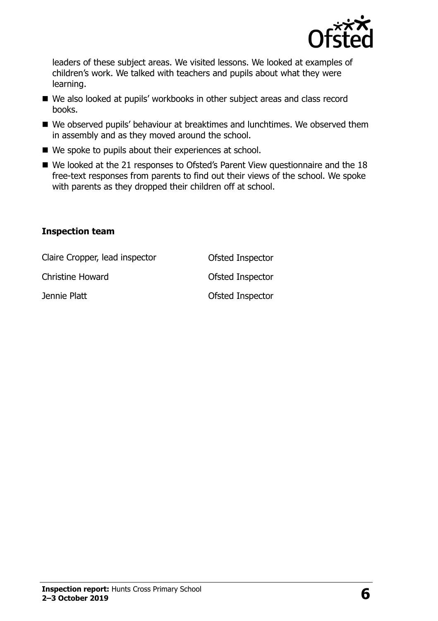

leaders of these subject areas. We visited lessons. We looked at examples of children's work. We talked with teachers and pupils about what they were learning.

- We also looked at pupils' workbooks in other subject areas and class record books.
- We observed pupils' behaviour at breaktimes and lunchtimes. We observed them in assembly and as they moved around the school.
- We spoke to pupils about their experiences at school.
- We looked at the 21 responses to Ofsted's Parent View questionnaire and the 18 free-text responses from parents to find out their views of the school. We spoke with parents as they dropped their children off at school.

#### **Inspection team**

| Claire Cropper, lead inspector | Ofsted Inspector |
|--------------------------------|------------------|
| Christine Howard               | Ofsted Inspector |
| Jennie Platt                   | Ofsted Inspector |